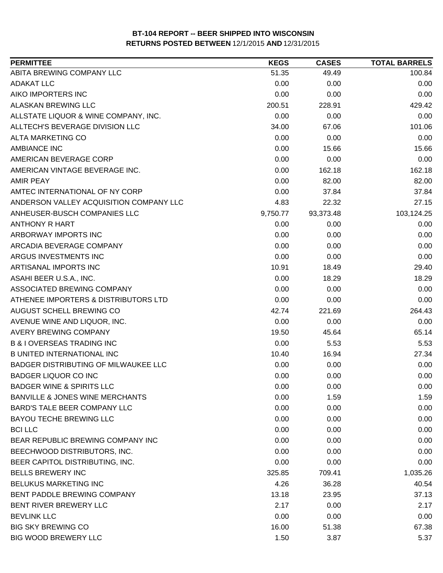| <b>PERMITTEE</b>                           | <b>KEGS</b> | <b>CASES</b> | <b>TOTAL BARRELS</b> |
|--------------------------------------------|-------------|--------------|----------------------|
| ABITA BREWING COMPANY LLC                  | 51.35       | 49.49        | 100.84               |
| <b>ADAKAT LLC</b>                          | 0.00        | 0.00         | 0.00                 |
| AIKO IMPORTERS INC                         | 0.00        | 0.00         | 0.00                 |
| <b>ALASKAN BREWING LLC</b>                 | 200.51      | 228.91       | 429.42               |
| ALLSTATE LIQUOR & WINE COMPANY, INC.       | 0.00        | 0.00         | 0.00                 |
| ALLTECH'S BEVERAGE DIVISION LLC            | 34.00       | 67.06        | 101.06               |
| <b>ALTA MARKETING CO</b>                   | 0.00        | 0.00         | 0.00                 |
| <b>AMBIANCE INC</b>                        | 0.00        | 15.66        | 15.66                |
| AMERICAN BEVERAGE CORP                     | 0.00        | 0.00         | 0.00                 |
| AMERICAN VINTAGE BEVERAGE INC.             | 0.00        | 162.18       | 162.18               |
| <b>AMIR PEAY</b>                           | 0.00        | 82.00        | 82.00                |
| AMTEC INTERNATIONAL OF NY CORP             | 0.00        | 37.84        | 37.84                |
| ANDERSON VALLEY ACQUISITION COMPANY LLC    | 4.83        | 22.32        | 27.15                |
| ANHEUSER-BUSCH COMPANIES LLC               | 9,750.77    | 93,373.48    | 103,124.25           |
| <b>ANTHONY R HART</b>                      | 0.00        | 0.00         | 0.00                 |
| ARBORWAY IMPORTS INC                       | 0.00        | 0.00         | 0.00                 |
| ARCADIA BEVERAGE COMPANY                   | 0.00        | 0.00         | 0.00                 |
| ARGUS INVESTMENTS INC                      | 0.00        | 0.00         | 0.00                 |
| ARTISANAL IMPORTS INC                      | 10.91       | 18.49        | 29.40                |
| ASAHI BEER U.S.A., INC.                    | 0.00        | 18.29        | 18.29                |
| ASSOCIATED BREWING COMPANY                 | 0.00        | 0.00         | 0.00                 |
| ATHENEE IMPORTERS & DISTRIBUTORS LTD       | 0.00        | 0.00         | 0.00                 |
| AUGUST SCHELL BREWING CO                   | 42.74       | 221.69       | 264.43               |
| AVENUE WINE AND LIQUOR, INC.               | 0.00        | 0.00         | 0.00                 |
| AVERY BREWING COMPANY                      | 19.50       | 45.64        | 65.14                |
| <b>B &amp; I OVERSEAS TRADING INC</b>      | 0.00        | 5.53         | 5.53                 |
| <b>B UNITED INTERNATIONAL INC</b>          | 10.40       | 16.94        | 27.34                |
| BADGER DISTRIBUTING OF MILWAUKEE LLC       | 0.00        | 0.00         | 0.00                 |
| <b>BADGER LIQUOR CO INC</b>                | 0.00        | 0.00         | 0.00                 |
| <b>BADGER WINE &amp; SPIRITS LLC</b>       | 0.00        | 0.00         | 0.00                 |
| <b>BANVILLE &amp; JONES WINE MERCHANTS</b> | 0.00        | 1.59         | 1.59                 |
| BARD'S TALE BEER COMPANY LLC               | 0.00        | 0.00         | 0.00                 |
| BAYOU TECHE BREWING LLC                    | 0.00        | 0.00         | 0.00                 |
| <b>BCI LLC</b>                             | 0.00        | 0.00         | 0.00                 |
| BEAR REPUBLIC BREWING COMPANY INC          | 0.00        | 0.00         | 0.00                 |
| BEECHWOOD DISTRIBUTORS, INC.               | 0.00        | 0.00         | 0.00                 |
| BEER CAPITOL DISTRIBUTING, INC.            | 0.00        | 0.00         | 0.00                 |
| <b>BELLS BREWERY INC</b>                   | 325.85      | 709.41       | 1,035.26             |
| <b>BELUKUS MARKETING INC</b>               | 4.26        | 36.28        | 40.54                |
| BENT PADDLE BREWING COMPANY                | 13.18       | 23.95        | 37.13                |
| BENT RIVER BREWERY LLC                     | 2.17        | 0.00         | 2.17                 |
| <b>BEVLINK LLC</b>                         | 0.00        | 0.00         | 0.00                 |
| <b>BIG SKY BREWING CO</b>                  | 16.00       | 51.38        | 67.38                |
| <b>BIG WOOD BREWERY LLC</b>                | 1.50        | 3.87         | 5.37                 |
|                                            |             |              |                      |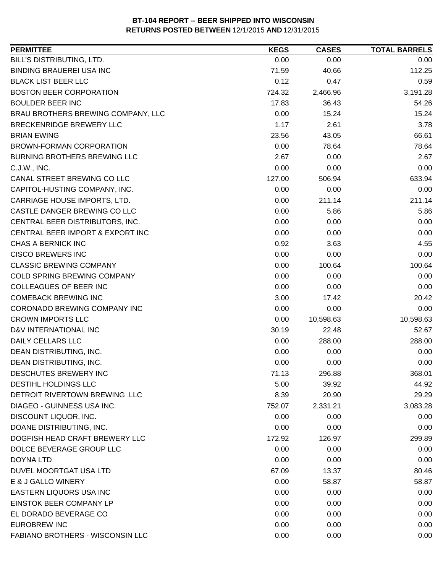| <b>PERMITTEE</b>                        | <b>KEGS</b> | <b>CASES</b> | <b>TOTAL BARRELS</b> |
|-----------------------------------------|-------------|--------------|----------------------|
| BILL'S DISTRIBUTING, LTD.               | 0.00        | 0.00         | 0.00                 |
| <b>BINDING BRAUEREI USA INC</b>         | 71.59       | 40.66        | 112.25               |
| <b>BLACK LIST BEER LLC</b>              | 0.12        | 0.47         | 0.59                 |
| <b>BOSTON BEER CORPORATION</b>          | 724.32      | 2,466.96     | 3,191.28             |
| <b>BOULDER BEER INC</b>                 | 17.83       | 36.43        | 54.26                |
| BRAU BROTHERS BREWING COMPANY, LLC      | 0.00        | 15.24        | 15.24                |
| BRECKENRIDGE BREWERY LLC                | 1.17        | 2.61         | 3.78                 |
| <b>BRIAN EWING</b>                      | 23.56       | 43.05        | 66.61                |
| BROWN-FORMAN CORPORATION                | 0.00        | 78.64        | 78.64                |
| <b>BURNING BROTHERS BREWING LLC</b>     | 2.67        | 0.00         | 2.67                 |
| C.J.W., INC.                            | 0.00        | 0.00         | 0.00                 |
| CANAL STREET BREWING CO LLC             | 127.00      | 506.94       | 633.94               |
| CAPITOL-HUSTING COMPANY, INC.           | 0.00        | 0.00         | 0.00                 |
| CARRIAGE HOUSE IMPORTS, LTD.            | 0.00        | 211.14       | 211.14               |
| CASTLE DANGER BREWING CO LLC            | 0.00        | 5.86         | 5.86                 |
| CENTRAL BEER DISTRIBUTORS, INC.         | 0.00        | 0.00         | 0.00                 |
| CENTRAL BEER IMPORT & EXPORT INC        | 0.00        | 0.00         | 0.00                 |
| CHAS A BERNICK INC                      | 0.92        | 3.63         | 4.55                 |
| <b>CISCO BREWERS INC</b>                | 0.00        | 0.00         | 0.00                 |
| <b>CLASSIC BREWING COMPANY</b>          | 0.00        | 100.64       | 100.64               |
| COLD SPRING BREWING COMPANY             | 0.00        | 0.00         | 0.00                 |
| COLLEAGUES OF BEER INC                  | 0.00        | 0.00         | 0.00                 |
| <b>COMEBACK BREWING INC</b>             | 3.00        | 17.42        | 20.42                |
| CORONADO BREWING COMPANY INC            | 0.00        | 0.00         | 0.00                 |
| <b>CROWN IMPORTS LLC</b>                | 0.00        | 10,598.63    | 10,598.63            |
| D&V INTERNATIONAL INC                   | 30.19       | 22.48        | 52.67                |
| <b>DAILY CELLARS LLC</b>                | 0.00        | 288.00       | 288.00               |
| DEAN DISTRIBUTING, INC.                 | 0.00        | 0.00         | 0.00                 |
| DEAN DISTRIBUTING, INC.                 | 0.00        | 0.00         | 0.00                 |
| DESCHUTES BREWERY INC                   | 71.13       | 296.88       | 368.01               |
| <b>DESTIHL HOLDINGS LLC</b>             | 5.00        | 39.92        | 44.92                |
| DETROIT RIVERTOWN BREWING LLC           | 8.39        | 20.90        | 29.29                |
| DIAGEO - GUINNESS USA INC.              | 752.07      | 2,331.21     | 3,083.28             |
| DISCOUNT LIQUOR, INC.                   | 0.00        | 0.00         | 0.00                 |
| DOANE DISTRIBUTING, INC.                | 0.00        | 0.00         | 0.00                 |
| DOGFISH HEAD CRAFT BREWERY LLC          | 172.92      | 126.97       | 299.89               |
| DOLCE BEVERAGE GROUP LLC                | 0.00        | 0.00         | 0.00                 |
| <b>DOYNA LTD</b>                        | 0.00        | 0.00         | 0.00                 |
| DUVEL MOORTGAT USA LTD                  | 67.09       | 13.37        | 80.46                |
| E & J GALLO WINERY                      | 0.00        | 58.87        | 58.87                |
| EASTERN LIQUORS USA INC                 | 0.00        | 0.00         | 0.00                 |
| EINSTOK BEER COMPANY LP                 | 0.00        | 0.00         | 0.00                 |
| EL DORADO BEVERAGE CO                   | 0.00        | 0.00         | 0.00                 |
| <b>EUROBREW INC</b>                     | 0.00        | 0.00         | 0.00                 |
| <b>FABIANO BROTHERS - WISCONSIN LLC</b> | 0.00        | 0.00         | 0.00                 |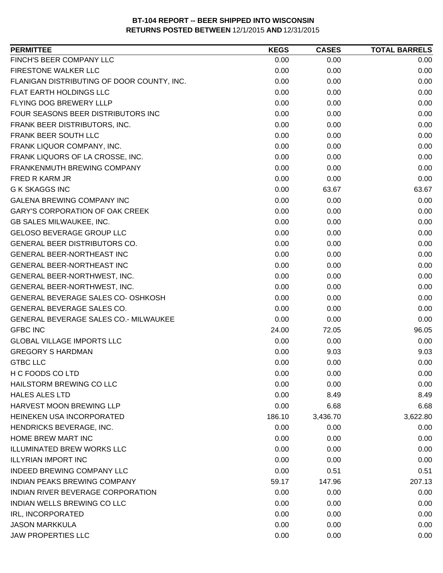| <b>PERMITTEE</b>                             | <b>KEGS</b> | <b>CASES</b> | <b>TOTAL BARRELS</b> |
|----------------------------------------------|-------------|--------------|----------------------|
| FINCH'S BEER COMPANY LLC                     | 0.00        | 0.00         | 0.00                 |
| FIRESTONE WALKER LLC                         | 0.00        | 0.00         | 0.00                 |
| FLANIGAN DISTRIBUTING OF DOOR COUNTY, INC.   | 0.00        | 0.00         | 0.00                 |
| <b>FLAT EARTH HOLDINGS LLC</b>               | 0.00        | 0.00         | 0.00                 |
| FLYING DOG BREWERY LLLP                      | 0.00        | 0.00         | 0.00                 |
| FOUR SEASONS BEER DISTRIBUTORS INC           | 0.00        | 0.00         | 0.00                 |
| FRANK BEER DISTRIBUTORS, INC.                | 0.00        | 0.00         | 0.00                 |
| FRANK BEER SOUTH LLC                         | 0.00        | 0.00         | 0.00                 |
| FRANK LIQUOR COMPANY, INC.                   | 0.00        | 0.00         | 0.00                 |
| FRANK LIQUORS OF LA CROSSE, INC.             | 0.00        | 0.00         | 0.00                 |
| FRANKENMUTH BREWING COMPANY                  | 0.00        | 0.00         | 0.00                 |
| FRED R KARM JR                               | 0.00        | 0.00         | 0.00                 |
| <b>G K SKAGGS INC</b>                        | 0.00        | 63.67        | 63.67                |
| <b>GALENA BREWING COMPANY INC</b>            | 0.00        | 0.00         | 0.00                 |
| <b>GARY'S CORPORATION OF OAK CREEK</b>       | 0.00        | 0.00         | 0.00                 |
| <b>GB SALES MILWAUKEE, INC.</b>              | 0.00        | 0.00         | 0.00                 |
| <b>GELOSO BEVERAGE GROUP LLC</b>             | 0.00        | 0.00         | 0.00                 |
| GENERAL BEER DISTRIBUTORS CO.                | 0.00        | 0.00         | 0.00                 |
| <b>GENERAL BEER-NORTHEAST INC</b>            | 0.00        | 0.00         | 0.00                 |
| GENERAL BEER-NORTHEAST INC                   | 0.00        | 0.00         | 0.00                 |
| GENERAL BEER-NORTHWEST, INC.                 | 0.00        | 0.00         | 0.00                 |
| GENERAL BEER-NORTHWEST, INC.                 | 0.00        | 0.00         | 0.00                 |
| GENERAL BEVERAGE SALES CO- OSHKOSH           | 0.00        | 0.00         | 0.00                 |
| GENERAL BEVERAGE SALES CO.                   | 0.00        | 0.00         | 0.00                 |
| <b>GENERAL BEVERAGE SALES CO.- MILWAUKEE</b> | 0.00        | 0.00         | 0.00                 |
| <b>GFBC INC</b>                              | 24.00       | 72.05        | 96.05                |
| <b>GLOBAL VILLAGE IMPORTS LLC</b>            | 0.00        | 0.00         | 0.00                 |
| <b>GREGORY S HARDMAN</b>                     | 0.00        | 9.03         | 9.03                 |
| <b>GTBC LLC</b>                              | 0.00        | 0.00         | 0.00                 |
| H C FOODS CO LTD                             | 0.00        | 0.00         | 0.00                 |
| HAILSTORM BREWING CO LLC                     | 0.00        | 0.00         | 0.00                 |
| <b>HALES ALES LTD</b>                        | 0.00        | 8.49         | 8.49                 |
| HARVEST MOON BREWING LLP                     | 0.00        | 6.68         | 6.68                 |
| HEINEKEN USA INCORPORATED                    | 186.10      | 3,436.70     | 3,622.80             |
| HENDRICKS BEVERAGE, INC.                     | 0.00        | 0.00         | 0.00                 |
| HOME BREW MART INC                           | 0.00        | 0.00         | 0.00                 |
| <b>ILLUMINATED BREW WORKS LLC</b>            | 0.00        | 0.00         | 0.00                 |
| <b>ILLYRIAN IMPORT INC</b>                   | 0.00        | 0.00         | 0.00                 |
| INDEED BREWING COMPANY LLC                   | 0.00        | 0.51         | 0.51                 |
| <b>INDIAN PEAKS BREWING COMPANY</b>          | 59.17       | 147.96       | 207.13               |
| INDIAN RIVER BEVERAGE CORPORATION            | 0.00        | 0.00         | 0.00                 |
| INDIAN WELLS BREWING CO LLC                  | 0.00        | 0.00         | 0.00                 |
| IRL, INCORPORATED                            | 0.00        | 0.00         | 0.00                 |
| <b>JASON MARKKULA</b>                        | 0.00        | 0.00         | 0.00                 |
| <b>JAW PROPERTIES LLC</b>                    | 0.00        | 0.00         | 0.00                 |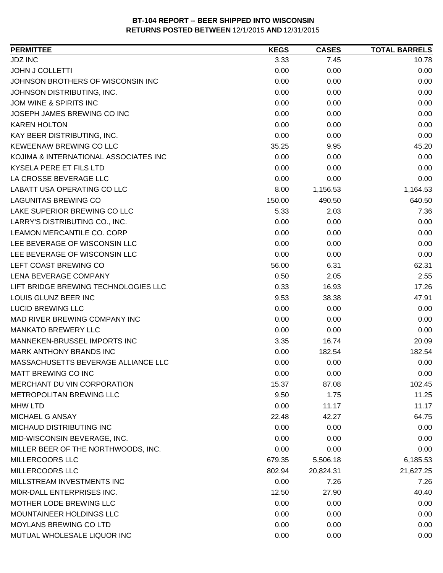| <b>JDZ INC</b><br>3.33<br>7.45<br>10.78<br><b>JOHN J COLLETTI</b><br>0.00<br>0.00<br>0.00<br>JOHNSON BROTHERS OF WISCONSIN INC<br>0.00<br>0.00<br>0.00<br>0.00<br>0.00<br>0.00<br>JOHNSON DISTRIBUTING, INC.<br>0.00<br>0.00<br>JOM WINE & SPIRITS INC<br>0.00<br>JOSEPH JAMES BREWING CO INC<br>0.00<br>0.00<br>0.00<br><b>KAREN HOLTON</b><br>0.00<br>0.00<br>0.00<br>KAY BEER DISTRIBUTING, INC.<br>0.00<br>0.00<br>0.00<br>KEWEENAW BREWING CO LLC<br>9.95<br>45.20<br>35.25<br>KOJIMA & INTERNATIONAL ASSOCIATES INC<br>0.00<br>0.00<br>0.00<br>KYSELA PERE ET FILS LTD<br>0.00<br>0.00<br>0.00<br>LA CROSSE BEVERAGE LLC<br>0.00<br>0.00<br>0.00<br>LABATT USA OPERATING CO LLC<br>8.00<br>1,156.53<br>1,164.53<br><b>LAGUNITAS BREWING CO</b><br>640.50<br>150.00<br>490.50<br>LAKE SUPERIOR BREWING CO LLC<br>5.33<br>2.03<br>7.36<br>LARRY'S DISTRIBUTING CO., INC.<br>0.00<br>0.00<br>0.00<br>LEAMON MERCANTILE CO. CORP<br>0.00<br>0.00<br>0.00<br>LEE BEVERAGE OF WISCONSIN LLC<br>0.00<br>0.00<br>0.00<br>LEE BEVERAGE OF WISCONSIN LLC<br>0.00<br>0.00<br>0.00<br>LEFT COAST BREWING CO<br>56.00<br>62.31<br>6.31<br>LENA BEVERAGE COMPANY<br>0.50<br>2.55<br>2.05<br>LIFT BRIDGE BREWING TECHNOLOGIES LLC<br>0.33<br>16.93<br>17.26<br>LOUIS GLUNZ BEER INC<br>9.53<br>38.38<br>47.91<br><b>LUCID BREWING LLC</b><br>0.00<br>0.00<br>0.00<br>MAD RIVER BREWING COMPANY INC<br>0.00<br>0.00<br>0.00<br><b>MANKATO BREWERY LLC</b><br>0.00<br>0.00<br>0.00<br>MANNEKEN-BRUSSEL IMPORTS INC<br>20.09<br>3.35<br>16.74<br><b>MARK ANTHONY BRANDS INC</b><br>182.54<br>182.54<br>0.00<br>MASSACHUSETTS BEVERAGE ALLIANCE LLC<br>0.00<br>0.00<br>0.00<br>MATT BREWING CO INC<br>0.00<br>0.00<br>0.00<br>MERCHANT DU VIN CORPORATION<br>15.37<br>102.45<br>87.08<br><b>METROPOLITAN BREWING LLC</b><br>11.25<br>9.50<br>1.75<br>0.00<br><b>MHW LTD</b><br>11.17<br>11.17<br>MICHAEL G ANSAY<br>22.48<br>42.27<br>64.75<br>MICHAUD DISTRIBUTING INC<br>0.00<br>0.00<br>0.00<br>MID-WISCONSIN BEVERAGE, INC.<br>0.00<br>0.00<br>0.00<br>0.00<br>MILLER BEER OF THE NORTHWOODS, INC.<br>0.00<br>0.00<br><b>MILLERCOORS LLC</b><br>679.35<br>5,506.18<br>6,185.53<br>MILLERCOORS LLC<br>802.94<br>20,824.31<br>21,627.25<br>MILLSTREAM INVESTMENTS INC<br>0.00<br>7.26<br>7.26<br>MOR-DALL ENTERPRISES INC.<br>12.50<br>27.90<br>40.40<br>MOTHER LODE BREWING LLC<br>0.00<br>0.00<br>0.00<br>MOUNTAINEER HOLDINGS LLC<br>0.00<br>0.00<br>0.00<br>MOYLANS BREWING CO LTD<br>0.00<br>0.00<br>0.00 | <b>PERMITTEE</b>            | <b>KEGS</b> | <b>CASES</b> | <b>TOTAL BARRELS</b> |
|-----------------------------------------------------------------------------------------------------------------------------------------------------------------------------------------------------------------------------------------------------------------------------------------------------------------------------------------------------------------------------------------------------------------------------------------------------------------------------------------------------------------------------------------------------------------------------------------------------------------------------------------------------------------------------------------------------------------------------------------------------------------------------------------------------------------------------------------------------------------------------------------------------------------------------------------------------------------------------------------------------------------------------------------------------------------------------------------------------------------------------------------------------------------------------------------------------------------------------------------------------------------------------------------------------------------------------------------------------------------------------------------------------------------------------------------------------------------------------------------------------------------------------------------------------------------------------------------------------------------------------------------------------------------------------------------------------------------------------------------------------------------------------------------------------------------------------------------------------------------------------------------------------------------------------------------------------------------------------------------------------------------------------------------------------------------------------------------------------------------------------------------------------------------------------------------------------------------------------------------------------------------------------------------------------------------------------------------------------------------------------------------------------------------------------------------------------------------------------------------------------|-----------------------------|-------------|--------------|----------------------|
|                                                                                                                                                                                                                                                                                                                                                                                                                                                                                                                                                                                                                                                                                                                                                                                                                                                                                                                                                                                                                                                                                                                                                                                                                                                                                                                                                                                                                                                                                                                                                                                                                                                                                                                                                                                                                                                                                                                                                                                                                                                                                                                                                                                                                                                                                                                                                                                                                                                                                                     |                             |             |              |                      |
|                                                                                                                                                                                                                                                                                                                                                                                                                                                                                                                                                                                                                                                                                                                                                                                                                                                                                                                                                                                                                                                                                                                                                                                                                                                                                                                                                                                                                                                                                                                                                                                                                                                                                                                                                                                                                                                                                                                                                                                                                                                                                                                                                                                                                                                                                                                                                                                                                                                                                                     |                             |             |              |                      |
|                                                                                                                                                                                                                                                                                                                                                                                                                                                                                                                                                                                                                                                                                                                                                                                                                                                                                                                                                                                                                                                                                                                                                                                                                                                                                                                                                                                                                                                                                                                                                                                                                                                                                                                                                                                                                                                                                                                                                                                                                                                                                                                                                                                                                                                                                                                                                                                                                                                                                                     |                             |             |              |                      |
|                                                                                                                                                                                                                                                                                                                                                                                                                                                                                                                                                                                                                                                                                                                                                                                                                                                                                                                                                                                                                                                                                                                                                                                                                                                                                                                                                                                                                                                                                                                                                                                                                                                                                                                                                                                                                                                                                                                                                                                                                                                                                                                                                                                                                                                                                                                                                                                                                                                                                                     |                             |             |              |                      |
|                                                                                                                                                                                                                                                                                                                                                                                                                                                                                                                                                                                                                                                                                                                                                                                                                                                                                                                                                                                                                                                                                                                                                                                                                                                                                                                                                                                                                                                                                                                                                                                                                                                                                                                                                                                                                                                                                                                                                                                                                                                                                                                                                                                                                                                                                                                                                                                                                                                                                                     |                             |             |              |                      |
|                                                                                                                                                                                                                                                                                                                                                                                                                                                                                                                                                                                                                                                                                                                                                                                                                                                                                                                                                                                                                                                                                                                                                                                                                                                                                                                                                                                                                                                                                                                                                                                                                                                                                                                                                                                                                                                                                                                                                                                                                                                                                                                                                                                                                                                                                                                                                                                                                                                                                                     |                             |             |              |                      |
|                                                                                                                                                                                                                                                                                                                                                                                                                                                                                                                                                                                                                                                                                                                                                                                                                                                                                                                                                                                                                                                                                                                                                                                                                                                                                                                                                                                                                                                                                                                                                                                                                                                                                                                                                                                                                                                                                                                                                                                                                                                                                                                                                                                                                                                                                                                                                                                                                                                                                                     |                             |             |              |                      |
|                                                                                                                                                                                                                                                                                                                                                                                                                                                                                                                                                                                                                                                                                                                                                                                                                                                                                                                                                                                                                                                                                                                                                                                                                                                                                                                                                                                                                                                                                                                                                                                                                                                                                                                                                                                                                                                                                                                                                                                                                                                                                                                                                                                                                                                                                                                                                                                                                                                                                                     |                             |             |              |                      |
|                                                                                                                                                                                                                                                                                                                                                                                                                                                                                                                                                                                                                                                                                                                                                                                                                                                                                                                                                                                                                                                                                                                                                                                                                                                                                                                                                                                                                                                                                                                                                                                                                                                                                                                                                                                                                                                                                                                                                                                                                                                                                                                                                                                                                                                                                                                                                                                                                                                                                                     |                             |             |              |                      |
|                                                                                                                                                                                                                                                                                                                                                                                                                                                                                                                                                                                                                                                                                                                                                                                                                                                                                                                                                                                                                                                                                                                                                                                                                                                                                                                                                                                                                                                                                                                                                                                                                                                                                                                                                                                                                                                                                                                                                                                                                                                                                                                                                                                                                                                                                                                                                                                                                                                                                                     |                             |             |              |                      |
|                                                                                                                                                                                                                                                                                                                                                                                                                                                                                                                                                                                                                                                                                                                                                                                                                                                                                                                                                                                                                                                                                                                                                                                                                                                                                                                                                                                                                                                                                                                                                                                                                                                                                                                                                                                                                                                                                                                                                                                                                                                                                                                                                                                                                                                                                                                                                                                                                                                                                                     |                             |             |              |                      |
|                                                                                                                                                                                                                                                                                                                                                                                                                                                                                                                                                                                                                                                                                                                                                                                                                                                                                                                                                                                                                                                                                                                                                                                                                                                                                                                                                                                                                                                                                                                                                                                                                                                                                                                                                                                                                                                                                                                                                                                                                                                                                                                                                                                                                                                                                                                                                                                                                                                                                                     |                             |             |              |                      |
|                                                                                                                                                                                                                                                                                                                                                                                                                                                                                                                                                                                                                                                                                                                                                                                                                                                                                                                                                                                                                                                                                                                                                                                                                                                                                                                                                                                                                                                                                                                                                                                                                                                                                                                                                                                                                                                                                                                                                                                                                                                                                                                                                                                                                                                                                                                                                                                                                                                                                                     |                             |             |              |                      |
|                                                                                                                                                                                                                                                                                                                                                                                                                                                                                                                                                                                                                                                                                                                                                                                                                                                                                                                                                                                                                                                                                                                                                                                                                                                                                                                                                                                                                                                                                                                                                                                                                                                                                                                                                                                                                                                                                                                                                                                                                                                                                                                                                                                                                                                                                                                                                                                                                                                                                                     |                             |             |              |                      |
|                                                                                                                                                                                                                                                                                                                                                                                                                                                                                                                                                                                                                                                                                                                                                                                                                                                                                                                                                                                                                                                                                                                                                                                                                                                                                                                                                                                                                                                                                                                                                                                                                                                                                                                                                                                                                                                                                                                                                                                                                                                                                                                                                                                                                                                                                                                                                                                                                                                                                                     |                             |             |              |                      |
|                                                                                                                                                                                                                                                                                                                                                                                                                                                                                                                                                                                                                                                                                                                                                                                                                                                                                                                                                                                                                                                                                                                                                                                                                                                                                                                                                                                                                                                                                                                                                                                                                                                                                                                                                                                                                                                                                                                                                                                                                                                                                                                                                                                                                                                                                                                                                                                                                                                                                                     |                             |             |              |                      |
|                                                                                                                                                                                                                                                                                                                                                                                                                                                                                                                                                                                                                                                                                                                                                                                                                                                                                                                                                                                                                                                                                                                                                                                                                                                                                                                                                                                                                                                                                                                                                                                                                                                                                                                                                                                                                                                                                                                                                                                                                                                                                                                                                                                                                                                                                                                                                                                                                                                                                                     |                             |             |              |                      |
|                                                                                                                                                                                                                                                                                                                                                                                                                                                                                                                                                                                                                                                                                                                                                                                                                                                                                                                                                                                                                                                                                                                                                                                                                                                                                                                                                                                                                                                                                                                                                                                                                                                                                                                                                                                                                                                                                                                                                                                                                                                                                                                                                                                                                                                                                                                                                                                                                                                                                                     |                             |             |              |                      |
|                                                                                                                                                                                                                                                                                                                                                                                                                                                                                                                                                                                                                                                                                                                                                                                                                                                                                                                                                                                                                                                                                                                                                                                                                                                                                                                                                                                                                                                                                                                                                                                                                                                                                                                                                                                                                                                                                                                                                                                                                                                                                                                                                                                                                                                                                                                                                                                                                                                                                                     |                             |             |              |                      |
|                                                                                                                                                                                                                                                                                                                                                                                                                                                                                                                                                                                                                                                                                                                                                                                                                                                                                                                                                                                                                                                                                                                                                                                                                                                                                                                                                                                                                                                                                                                                                                                                                                                                                                                                                                                                                                                                                                                                                                                                                                                                                                                                                                                                                                                                                                                                                                                                                                                                                                     |                             |             |              |                      |
|                                                                                                                                                                                                                                                                                                                                                                                                                                                                                                                                                                                                                                                                                                                                                                                                                                                                                                                                                                                                                                                                                                                                                                                                                                                                                                                                                                                                                                                                                                                                                                                                                                                                                                                                                                                                                                                                                                                                                                                                                                                                                                                                                                                                                                                                                                                                                                                                                                                                                                     |                             |             |              |                      |
|                                                                                                                                                                                                                                                                                                                                                                                                                                                                                                                                                                                                                                                                                                                                                                                                                                                                                                                                                                                                                                                                                                                                                                                                                                                                                                                                                                                                                                                                                                                                                                                                                                                                                                                                                                                                                                                                                                                                                                                                                                                                                                                                                                                                                                                                                                                                                                                                                                                                                                     |                             |             |              |                      |
|                                                                                                                                                                                                                                                                                                                                                                                                                                                                                                                                                                                                                                                                                                                                                                                                                                                                                                                                                                                                                                                                                                                                                                                                                                                                                                                                                                                                                                                                                                                                                                                                                                                                                                                                                                                                                                                                                                                                                                                                                                                                                                                                                                                                                                                                                                                                                                                                                                                                                                     |                             |             |              |                      |
|                                                                                                                                                                                                                                                                                                                                                                                                                                                                                                                                                                                                                                                                                                                                                                                                                                                                                                                                                                                                                                                                                                                                                                                                                                                                                                                                                                                                                                                                                                                                                                                                                                                                                                                                                                                                                                                                                                                                                                                                                                                                                                                                                                                                                                                                                                                                                                                                                                                                                                     |                             |             |              |                      |
|                                                                                                                                                                                                                                                                                                                                                                                                                                                                                                                                                                                                                                                                                                                                                                                                                                                                                                                                                                                                                                                                                                                                                                                                                                                                                                                                                                                                                                                                                                                                                                                                                                                                                                                                                                                                                                                                                                                                                                                                                                                                                                                                                                                                                                                                                                                                                                                                                                                                                                     |                             |             |              |                      |
|                                                                                                                                                                                                                                                                                                                                                                                                                                                                                                                                                                                                                                                                                                                                                                                                                                                                                                                                                                                                                                                                                                                                                                                                                                                                                                                                                                                                                                                                                                                                                                                                                                                                                                                                                                                                                                                                                                                                                                                                                                                                                                                                                                                                                                                                                                                                                                                                                                                                                                     |                             |             |              |                      |
|                                                                                                                                                                                                                                                                                                                                                                                                                                                                                                                                                                                                                                                                                                                                                                                                                                                                                                                                                                                                                                                                                                                                                                                                                                                                                                                                                                                                                                                                                                                                                                                                                                                                                                                                                                                                                                                                                                                                                                                                                                                                                                                                                                                                                                                                                                                                                                                                                                                                                                     |                             |             |              |                      |
|                                                                                                                                                                                                                                                                                                                                                                                                                                                                                                                                                                                                                                                                                                                                                                                                                                                                                                                                                                                                                                                                                                                                                                                                                                                                                                                                                                                                                                                                                                                                                                                                                                                                                                                                                                                                                                                                                                                                                                                                                                                                                                                                                                                                                                                                                                                                                                                                                                                                                                     |                             |             |              |                      |
|                                                                                                                                                                                                                                                                                                                                                                                                                                                                                                                                                                                                                                                                                                                                                                                                                                                                                                                                                                                                                                                                                                                                                                                                                                                                                                                                                                                                                                                                                                                                                                                                                                                                                                                                                                                                                                                                                                                                                                                                                                                                                                                                                                                                                                                                                                                                                                                                                                                                                                     |                             |             |              |                      |
|                                                                                                                                                                                                                                                                                                                                                                                                                                                                                                                                                                                                                                                                                                                                                                                                                                                                                                                                                                                                                                                                                                                                                                                                                                                                                                                                                                                                                                                                                                                                                                                                                                                                                                                                                                                                                                                                                                                                                                                                                                                                                                                                                                                                                                                                                                                                                                                                                                                                                                     |                             |             |              |                      |
|                                                                                                                                                                                                                                                                                                                                                                                                                                                                                                                                                                                                                                                                                                                                                                                                                                                                                                                                                                                                                                                                                                                                                                                                                                                                                                                                                                                                                                                                                                                                                                                                                                                                                                                                                                                                                                                                                                                                                                                                                                                                                                                                                                                                                                                                                                                                                                                                                                                                                                     |                             |             |              |                      |
|                                                                                                                                                                                                                                                                                                                                                                                                                                                                                                                                                                                                                                                                                                                                                                                                                                                                                                                                                                                                                                                                                                                                                                                                                                                                                                                                                                                                                                                                                                                                                                                                                                                                                                                                                                                                                                                                                                                                                                                                                                                                                                                                                                                                                                                                                                                                                                                                                                                                                                     |                             |             |              |                      |
|                                                                                                                                                                                                                                                                                                                                                                                                                                                                                                                                                                                                                                                                                                                                                                                                                                                                                                                                                                                                                                                                                                                                                                                                                                                                                                                                                                                                                                                                                                                                                                                                                                                                                                                                                                                                                                                                                                                                                                                                                                                                                                                                                                                                                                                                                                                                                                                                                                                                                                     |                             |             |              |                      |
|                                                                                                                                                                                                                                                                                                                                                                                                                                                                                                                                                                                                                                                                                                                                                                                                                                                                                                                                                                                                                                                                                                                                                                                                                                                                                                                                                                                                                                                                                                                                                                                                                                                                                                                                                                                                                                                                                                                                                                                                                                                                                                                                                                                                                                                                                                                                                                                                                                                                                                     |                             |             |              |                      |
|                                                                                                                                                                                                                                                                                                                                                                                                                                                                                                                                                                                                                                                                                                                                                                                                                                                                                                                                                                                                                                                                                                                                                                                                                                                                                                                                                                                                                                                                                                                                                                                                                                                                                                                                                                                                                                                                                                                                                                                                                                                                                                                                                                                                                                                                                                                                                                                                                                                                                                     |                             |             |              |                      |
|                                                                                                                                                                                                                                                                                                                                                                                                                                                                                                                                                                                                                                                                                                                                                                                                                                                                                                                                                                                                                                                                                                                                                                                                                                                                                                                                                                                                                                                                                                                                                                                                                                                                                                                                                                                                                                                                                                                                                                                                                                                                                                                                                                                                                                                                                                                                                                                                                                                                                                     |                             |             |              |                      |
|                                                                                                                                                                                                                                                                                                                                                                                                                                                                                                                                                                                                                                                                                                                                                                                                                                                                                                                                                                                                                                                                                                                                                                                                                                                                                                                                                                                                                                                                                                                                                                                                                                                                                                                                                                                                                                                                                                                                                                                                                                                                                                                                                                                                                                                                                                                                                                                                                                                                                                     |                             |             |              |                      |
|                                                                                                                                                                                                                                                                                                                                                                                                                                                                                                                                                                                                                                                                                                                                                                                                                                                                                                                                                                                                                                                                                                                                                                                                                                                                                                                                                                                                                                                                                                                                                                                                                                                                                                                                                                                                                                                                                                                                                                                                                                                                                                                                                                                                                                                                                                                                                                                                                                                                                                     |                             |             |              |                      |
|                                                                                                                                                                                                                                                                                                                                                                                                                                                                                                                                                                                                                                                                                                                                                                                                                                                                                                                                                                                                                                                                                                                                                                                                                                                                                                                                                                                                                                                                                                                                                                                                                                                                                                                                                                                                                                                                                                                                                                                                                                                                                                                                                                                                                                                                                                                                                                                                                                                                                                     |                             |             |              |                      |
|                                                                                                                                                                                                                                                                                                                                                                                                                                                                                                                                                                                                                                                                                                                                                                                                                                                                                                                                                                                                                                                                                                                                                                                                                                                                                                                                                                                                                                                                                                                                                                                                                                                                                                                                                                                                                                                                                                                                                                                                                                                                                                                                                                                                                                                                                                                                                                                                                                                                                                     |                             |             |              |                      |
|                                                                                                                                                                                                                                                                                                                                                                                                                                                                                                                                                                                                                                                                                                                                                                                                                                                                                                                                                                                                                                                                                                                                                                                                                                                                                                                                                                                                                                                                                                                                                                                                                                                                                                                                                                                                                                                                                                                                                                                                                                                                                                                                                                                                                                                                                                                                                                                                                                                                                                     |                             |             |              |                      |
|                                                                                                                                                                                                                                                                                                                                                                                                                                                                                                                                                                                                                                                                                                                                                                                                                                                                                                                                                                                                                                                                                                                                                                                                                                                                                                                                                                                                                                                                                                                                                                                                                                                                                                                                                                                                                                                                                                                                                                                                                                                                                                                                                                                                                                                                                                                                                                                                                                                                                                     |                             |             |              |                      |
|                                                                                                                                                                                                                                                                                                                                                                                                                                                                                                                                                                                                                                                                                                                                                                                                                                                                                                                                                                                                                                                                                                                                                                                                                                                                                                                                                                                                                                                                                                                                                                                                                                                                                                                                                                                                                                                                                                                                                                                                                                                                                                                                                                                                                                                                                                                                                                                                                                                                                                     |                             |             |              |                      |
|                                                                                                                                                                                                                                                                                                                                                                                                                                                                                                                                                                                                                                                                                                                                                                                                                                                                                                                                                                                                                                                                                                                                                                                                                                                                                                                                                                                                                                                                                                                                                                                                                                                                                                                                                                                                                                                                                                                                                                                                                                                                                                                                                                                                                                                                                                                                                                                                                                                                                                     |                             |             |              |                      |
|                                                                                                                                                                                                                                                                                                                                                                                                                                                                                                                                                                                                                                                                                                                                                                                                                                                                                                                                                                                                                                                                                                                                                                                                                                                                                                                                                                                                                                                                                                                                                                                                                                                                                                                                                                                                                                                                                                                                                                                                                                                                                                                                                                                                                                                                                                                                                                                                                                                                                                     | MUTUAL WHOLESALE LIQUOR INC | 0.00        | 0.00         | 0.00                 |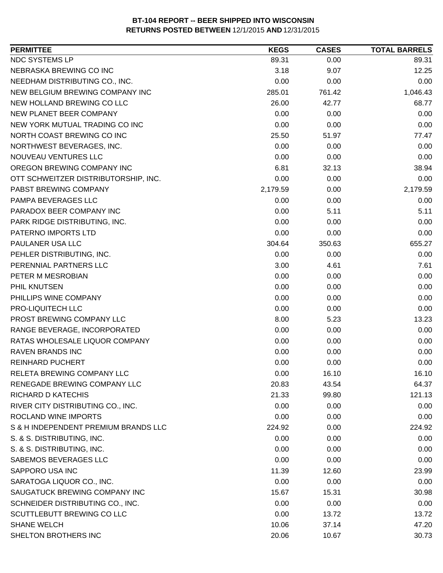| NDC SYSTEMS LP<br>89.31<br>89.31<br>0.00<br>NEBRASKA BREWING CO INC<br>12.25<br>3.18<br>9.07<br>NEEDHAM DISTRIBUTING CO., INC.<br>0.00<br>0.00<br>0.00<br>NEW BELGIUM BREWING COMPANY INC<br>285.01<br>1,046.43<br>761.42<br>NEW HOLLAND BREWING CO LLC<br>26.00<br>42.77<br>68.77<br>NEW PLANET BEER COMPANY<br>0.00<br>0.00<br>0.00<br>NEW YORK MUTUAL TRADING CO INC<br>0.00<br>0.00<br>0.00<br>NORTH COAST BREWING CO INC<br>25.50<br>77.47<br>51.97<br>NORTHWEST BEVERAGES, INC.<br>0.00<br>0.00<br>0.00<br>NOUVEAU VENTURES LLC<br>0.00<br>0.00<br>0.00<br>OREGON BREWING COMPANY INC<br>6.81<br>32.13<br>38.94<br>0.00<br>OTT SCHWEITZER DISTRIBUTORSHIP, INC.<br>0.00<br>0.00<br>PABST BREWING COMPANY<br>2,179.59<br>0.00<br>2,179.59<br>PAMPA BEVERAGES LLC<br>0.00<br>0.00<br>0.00<br>PARADOX BEER COMPANY INC<br>0.00<br>5.11<br>5.11<br>PARK RIDGE DISTRIBUTING, INC.<br>0.00<br>0.00<br>0.00<br>0.00<br>PATERNO IMPORTS LTD<br>0.00<br>0.00<br>PAULANER USA LLC<br>655.27<br>304.64<br>350.63<br>PEHLER DISTRIBUTING, INC.<br>0.00<br>0.00<br>0.00<br>PERENNIAL PARTNERS LLC<br>3.00<br>7.61<br>4.61<br>0.00<br>0.00<br>PETER M MESROBIAN<br>0.00<br>PHIL KNUTSEN<br>0.00<br>0.00<br>0.00<br>PHILLIPS WINE COMPANY<br>0.00<br>0.00<br>0.00<br>PRO-LIQUITECH LLC<br>0.00<br>0.00<br>0.00<br>PROST BREWING COMPANY LLC<br>8.00<br>5.23<br>13.23<br>RANGE BEVERAGE, INCORPORATED<br>0.00<br>0.00<br>0.00<br>0.00<br>0.00<br>0.00<br>RATAS WHOLESALE LIQUOR COMPANY<br><b>RAVEN BRANDS INC</b><br>0.00<br>0.00<br>0.00<br>0.00<br>0.00<br>0.00<br><b>REINHARD PUCHERT</b><br><b>RELETA BREWING COMPANY LLC</b><br>0.00<br>16.10<br>16.10<br>RENEGADE BREWING COMPANY LLC<br>20.83<br>43.54<br>64.37<br><b>RICHARD D KATECHIS</b><br>21.33<br>99.80<br>121.13<br>RIVER CITY DISTRIBUTING CO., INC.<br>0.00<br>0.00<br>0.00<br>ROCLAND WINE IMPORTS<br>0.00<br>0.00<br>0.00<br>0.00<br>224.92<br>S & H INDEPENDENT PREMIUM BRANDS LLC<br>224.92<br>S. & S. DISTRIBUTING, INC.<br>0.00<br>0.00<br>0.00<br>S. & S. DISTRIBUTING, INC.<br>0.00<br>0.00<br>0.00<br>SABEMOS BEVERAGES LLC<br>0.00<br>0.00<br>0.00<br>SAPPORO USA INC<br>11.39<br>23.99<br>12.60<br>SARATOGA LIQUOR CO., INC.<br>0.00<br>0.00<br>0.00<br>SAUGATUCK BREWING COMPANY INC<br>15.67<br>15.31<br>30.98<br>SCHNEIDER DISTRIBUTING CO., INC.<br>0.00<br>0.00<br>0.00<br>0.00<br>SCUTTLEBUTT BREWING CO LLC<br>13.72<br>13.72<br><b>SHANE WELCH</b><br>10.06<br>37.14<br>47.20<br>SHELTON BROTHERS INC<br>20.06<br>10.67<br>30.73 | <b>PERMITTEE</b> | <b>KEGS</b> | <b>CASES</b> | <b>TOTAL BARRELS</b> |
|-------------------------------------------------------------------------------------------------------------------------------------------------------------------------------------------------------------------------------------------------------------------------------------------------------------------------------------------------------------------------------------------------------------------------------------------------------------------------------------------------------------------------------------------------------------------------------------------------------------------------------------------------------------------------------------------------------------------------------------------------------------------------------------------------------------------------------------------------------------------------------------------------------------------------------------------------------------------------------------------------------------------------------------------------------------------------------------------------------------------------------------------------------------------------------------------------------------------------------------------------------------------------------------------------------------------------------------------------------------------------------------------------------------------------------------------------------------------------------------------------------------------------------------------------------------------------------------------------------------------------------------------------------------------------------------------------------------------------------------------------------------------------------------------------------------------------------------------------------------------------------------------------------------------------------------------------------------------------------------------------------------------------------------------------------------------------------------------------------------------------------------------------------------------------------------------------------------------------------------------------------------------------------------------------------------------------------------------------------------------------------------------------------------------------------------------------------------------------------------------------------------|------------------|-------------|--------------|----------------------|
|                                                                                                                                                                                                                                                                                                                                                                                                                                                                                                                                                                                                                                                                                                                                                                                                                                                                                                                                                                                                                                                                                                                                                                                                                                                                                                                                                                                                                                                                                                                                                                                                                                                                                                                                                                                                                                                                                                                                                                                                                                                                                                                                                                                                                                                                                                                                                                                                                                                                                                             |                  |             |              |                      |
|                                                                                                                                                                                                                                                                                                                                                                                                                                                                                                                                                                                                                                                                                                                                                                                                                                                                                                                                                                                                                                                                                                                                                                                                                                                                                                                                                                                                                                                                                                                                                                                                                                                                                                                                                                                                                                                                                                                                                                                                                                                                                                                                                                                                                                                                                                                                                                                                                                                                                                             |                  |             |              |                      |
|                                                                                                                                                                                                                                                                                                                                                                                                                                                                                                                                                                                                                                                                                                                                                                                                                                                                                                                                                                                                                                                                                                                                                                                                                                                                                                                                                                                                                                                                                                                                                                                                                                                                                                                                                                                                                                                                                                                                                                                                                                                                                                                                                                                                                                                                                                                                                                                                                                                                                                             |                  |             |              |                      |
|                                                                                                                                                                                                                                                                                                                                                                                                                                                                                                                                                                                                                                                                                                                                                                                                                                                                                                                                                                                                                                                                                                                                                                                                                                                                                                                                                                                                                                                                                                                                                                                                                                                                                                                                                                                                                                                                                                                                                                                                                                                                                                                                                                                                                                                                                                                                                                                                                                                                                                             |                  |             |              |                      |
|                                                                                                                                                                                                                                                                                                                                                                                                                                                                                                                                                                                                                                                                                                                                                                                                                                                                                                                                                                                                                                                                                                                                                                                                                                                                                                                                                                                                                                                                                                                                                                                                                                                                                                                                                                                                                                                                                                                                                                                                                                                                                                                                                                                                                                                                                                                                                                                                                                                                                                             |                  |             |              |                      |
|                                                                                                                                                                                                                                                                                                                                                                                                                                                                                                                                                                                                                                                                                                                                                                                                                                                                                                                                                                                                                                                                                                                                                                                                                                                                                                                                                                                                                                                                                                                                                                                                                                                                                                                                                                                                                                                                                                                                                                                                                                                                                                                                                                                                                                                                                                                                                                                                                                                                                                             |                  |             |              |                      |
|                                                                                                                                                                                                                                                                                                                                                                                                                                                                                                                                                                                                                                                                                                                                                                                                                                                                                                                                                                                                                                                                                                                                                                                                                                                                                                                                                                                                                                                                                                                                                                                                                                                                                                                                                                                                                                                                                                                                                                                                                                                                                                                                                                                                                                                                                                                                                                                                                                                                                                             |                  |             |              |                      |
|                                                                                                                                                                                                                                                                                                                                                                                                                                                                                                                                                                                                                                                                                                                                                                                                                                                                                                                                                                                                                                                                                                                                                                                                                                                                                                                                                                                                                                                                                                                                                                                                                                                                                                                                                                                                                                                                                                                                                                                                                                                                                                                                                                                                                                                                                                                                                                                                                                                                                                             |                  |             |              |                      |
|                                                                                                                                                                                                                                                                                                                                                                                                                                                                                                                                                                                                                                                                                                                                                                                                                                                                                                                                                                                                                                                                                                                                                                                                                                                                                                                                                                                                                                                                                                                                                                                                                                                                                                                                                                                                                                                                                                                                                                                                                                                                                                                                                                                                                                                                                                                                                                                                                                                                                                             |                  |             |              |                      |
|                                                                                                                                                                                                                                                                                                                                                                                                                                                                                                                                                                                                                                                                                                                                                                                                                                                                                                                                                                                                                                                                                                                                                                                                                                                                                                                                                                                                                                                                                                                                                                                                                                                                                                                                                                                                                                                                                                                                                                                                                                                                                                                                                                                                                                                                                                                                                                                                                                                                                                             |                  |             |              |                      |
|                                                                                                                                                                                                                                                                                                                                                                                                                                                                                                                                                                                                                                                                                                                                                                                                                                                                                                                                                                                                                                                                                                                                                                                                                                                                                                                                                                                                                                                                                                                                                                                                                                                                                                                                                                                                                                                                                                                                                                                                                                                                                                                                                                                                                                                                                                                                                                                                                                                                                                             |                  |             |              |                      |
|                                                                                                                                                                                                                                                                                                                                                                                                                                                                                                                                                                                                                                                                                                                                                                                                                                                                                                                                                                                                                                                                                                                                                                                                                                                                                                                                                                                                                                                                                                                                                                                                                                                                                                                                                                                                                                                                                                                                                                                                                                                                                                                                                                                                                                                                                                                                                                                                                                                                                                             |                  |             |              |                      |
|                                                                                                                                                                                                                                                                                                                                                                                                                                                                                                                                                                                                                                                                                                                                                                                                                                                                                                                                                                                                                                                                                                                                                                                                                                                                                                                                                                                                                                                                                                                                                                                                                                                                                                                                                                                                                                                                                                                                                                                                                                                                                                                                                                                                                                                                                                                                                                                                                                                                                                             |                  |             |              |                      |
|                                                                                                                                                                                                                                                                                                                                                                                                                                                                                                                                                                                                                                                                                                                                                                                                                                                                                                                                                                                                                                                                                                                                                                                                                                                                                                                                                                                                                                                                                                                                                                                                                                                                                                                                                                                                                                                                                                                                                                                                                                                                                                                                                                                                                                                                                                                                                                                                                                                                                                             |                  |             |              |                      |
|                                                                                                                                                                                                                                                                                                                                                                                                                                                                                                                                                                                                                                                                                                                                                                                                                                                                                                                                                                                                                                                                                                                                                                                                                                                                                                                                                                                                                                                                                                                                                                                                                                                                                                                                                                                                                                                                                                                                                                                                                                                                                                                                                                                                                                                                                                                                                                                                                                                                                                             |                  |             |              |                      |
|                                                                                                                                                                                                                                                                                                                                                                                                                                                                                                                                                                                                                                                                                                                                                                                                                                                                                                                                                                                                                                                                                                                                                                                                                                                                                                                                                                                                                                                                                                                                                                                                                                                                                                                                                                                                                                                                                                                                                                                                                                                                                                                                                                                                                                                                                                                                                                                                                                                                                                             |                  |             |              |                      |
|                                                                                                                                                                                                                                                                                                                                                                                                                                                                                                                                                                                                                                                                                                                                                                                                                                                                                                                                                                                                                                                                                                                                                                                                                                                                                                                                                                                                                                                                                                                                                                                                                                                                                                                                                                                                                                                                                                                                                                                                                                                                                                                                                                                                                                                                                                                                                                                                                                                                                                             |                  |             |              |                      |
|                                                                                                                                                                                                                                                                                                                                                                                                                                                                                                                                                                                                                                                                                                                                                                                                                                                                                                                                                                                                                                                                                                                                                                                                                                                                                                                                                                                                                                                                                                                                                                                                                                                                                                                                                                                                                                                                                                                                                                                                                                                                                                                                                                                                                                                                                                                                                                                                                                                                                                             |                  |             |              |                      |
|                                                                                                                                                                                                                                                                                                                                                                                                                                                                                                                                                                                                                                                                                                                                                                                                                                                                                                                                                                                                                                                                                                                                                                                                                                                                                                                                                                                                                                                                                                                                                                                                                                                                                                                                                                                                                                                                                                                                                                                                                                                                                                                                                                                                                                                                                                                                                                                                                                                                                                             |                  |             |              |                      |
|                                                                                                                                                                                                                                                                                                                                                                                                                                                                                                                                                                                                                                                                                                                                                                                                                                                                                                                                                                                                                                                                                                                                                                                                                                                                                                                                                                                                                                                                                                                                                                                                                                                                                                                                                                                                                                                                                                                                                                                                                                                                                                                                                                                                                                                                                                                                                                                                                                                                                                             |                  |             |              |                      |
|                                                                                                                                                                                                                                                                                                                                                                                                                                                                                                                                                                                                                                                                                                                                                                                                                                                                                                                                                                                                                                                                                                                                                                                                                                                                                                                                                                                                                                                                                                                                                                                                                                                                                                                                                                                                                                                                                                                                                                                                                                                                                                                                                                                                                                                                                                                                                                                                                                                                                                             |                  |             |              |                      |
|                                                                                                                                                                                                                                                                                                                                                                                                                                                                                                                                                                                                                                                                                                                                                                                                                                                                                                                                                                                                                                                                                                                                                                                                                                                                                                                                                                                                                                                                                                                                                                                                                                                                                                                                                                                                                                                                                                                                                                                                                                                                                                                                                                                                                                                                                                                                                                                                                                                                                                             |                  |             |              |                      |
|                                                                                                                                                                                                                                                                                                                                                                                                                                                                                                                                                                                                                                                                                                                                                                                                                                                                                                                                                                                                                                                                                                                                                                                                                                                                                                                                                                                                                                                                                                                                                                                                                                                                                                                                                                                                                                                                                                                                                                                                                                                                                                                                                                                                                                                                                                                                                                                                                                                                                                             |                  |             |              |                      |
|                                                                                                                                                                                                                                                                                                                                                                                                                                                                                                                                                                                                                                                                                                                                                                                                                                                                                                                                                                                                                                                                                                                                                                                                                                                                                                                                                                                                                                                                                                                                                                                                                                                                                                                                                                                                                                                                                                                                                                                                                                                                                                                                                                                                                                                                                                                                                                                                                                                                                                             |                  |             |              |                      |
|                                                                                                                                                                                                                                                                                                                                                                                                                                                                                                                                                                                                                                                                                                                                                                                                                                                                                                                                                                                                                                                                                                                                                                                                                                                                                                                                                                                                                                                                                                                                                                                                                                                                                                                                                                                                                                                                                                                                                                                                                                                                                                                                                                                                                                                                                                                                                                                                                                                                                                             |                  |             |              |                      |
|                                                                                                                                                                                                                                                                                                                                                                                                                                                                                                                                                                                                                                                                                                                                                                                                                                                                                                                                                                                                                                                                                                                                                                                                                                                                                                                                                                                                                                                                                                                                                                                                                                                                                                                                                                                                                                                                                                                                                                                                                                                                                                                                                                                                                                                                                                                                                                                                                                                                                                             |                  |             |              |                      |
|                                                                                                                                                                                                                                                                                                                                                                                                                                                                                                                                                                                                                                                                                                                                                                                                                                                                                                                                                                                                                                                                                                                                                                                                                                                                                                                                                                                                                                                                                                                                                                                                                                                                                                                                                                                                                                                                                                                                                                                                                                                                                                                                                                                                                                                                                                                                                                                                                                                                                                             |                  |             |              |                      |
|                                                                                                                                                                                                                                                                                                                                                                                                                                                                                                                                                                                                                                                                                                                                                                                                                                                                                                                                                                                                                                                                                                                                                                                                                                                                                                                                                                                                                                                                                                                                                                                                                                                                                                                                                                                                                                                                                                                                                                                                                                                                                                                                                                                                                                                                                                                                                                                                                                                                                                             |                  |             |              |                      |
|                                                                                                                                                                                                                                                                                                                                                                                                                                                                                                                                                                                                                                                                                                                                                                                                                                                                                                                                                                                                                                                                                                                                                                                                                                                                                                                                                                                                                                                                                                                                                                                                                                                                                                                                                                                                                                                                                                                                                                                                                                                                                                                                                                                                                                                                                                                                                                                                                                                                                                             |                  |             |              |                      |
|                                                                                                                                                                                                                                                                                                                                                                                                                                                                                                                                                                                                                                                                                                                                                                                                                                                                                                                                                                                                                                                                                                                                                                                                                                                                                                                                                                                                                                                                                                                                                                                                                                                                                                                                                                                                                                                                                                                                                                                                                                                                                                                                                                                                                                                                                                                                                                                                                                                                                                             |                  |             |              |                      |
|                                                                                                                                                                                                                                                                                                                                                                                                                                                                                                                                                                                                                                                                                                                                                                                                                                                                                                                                                                                                                                                                                                                                                                                                                                                                                                                                                                                                                                                                                                                                                                                                                                                                                                                                                                                                                                                                                                                                                                                                                                                                                                                                                                                                                                                                                                                                                                                                                                                                                                             |                  |             |              |                      |
|                                                                                                                                                                                                                                                                                                                                                                                                                                                                                                                                                                                                                                                                                                                                                                                                                                                                                                                                                                                                                                                                                                                                                                                                                                                                                                                                                                                                                                                                                                                                                                                                                                                                                                                                                                                                                                                                                                                                                                                                                                                                                                                                                                                                                                                                                                                                                                                                                                                                                                             |                  |             |              |                      |
|                                                                                                                                                                                                                                                                                                                                                                                                                                                                                                                                                                                                                                                                                                                                                                                                                                                                                                                                                                                                                                                                                                                                                                                                                                                                                                                                                                                                                                                                                                                                                                                                                                                                                                                                                                                                                                                                                                                                                                                                                                                                                                                                                                                                                                                                                                                                                                                                                                                                                                             |                  |             |              |                      |
|                                                                                                                                                                                                                                                                                                                                                                                                                                                                                                                                                                                                                                                                                                                                                                                                                                                                                                                                                                                                                                                                                                                                                                                                                                                                                                                                                                                                                                                                                                                                                                                                                                                                                                                                                                                                                                                                                                                                                                                                                                                                                                                                                                                                                                                                                                                                                                                                                                                                                                             |                  |             |              |                      |
|                                                                                                                                                                                                                                                                                                                                                                                                                                                                                                                                                                                                                                                                                                                                                                                                                                                                                                                                                                                                                                                                                                                                                                                                                                                                                                                                                                                                                                                                                                                                                                                                                                                                                                                                                                                                                                                                                                                                                                                                                                                                                                                                                                                                                                                                                                                                                                                                                                                                                                             |                  |             |              |                      |
|                                                                                                                                                                                                                                                                                                                                                                                                                                                                                                                                                                                                                                                                                                                                                                                                                                                                                                                                                                                                                                                                                                                                                                                                                                                                                                                                                                                                                                                                                                                                                                                                                                                                                                                                                                                                                                                                                                                                                                                                                                                                                                                                                                                                                                                                                                                                                                                                                                                                                                             |                  |             |              |                      |
|                                                                                                                                                                                                                                                                                                                                                                                                                                                                                                                                                                                                                                                                                                                                                                                                                                                                                                                                                                                                                                                                                                                                                                                                                                                                                                                                                                                                                                                                                                                                                                                                                                                                                                                                                                                                                                                                                                                                                                                                                                                                                                                                                                                                                                                                                                                                                                                                                                                                                                             |                  |             |              |                      |
|                                                                                                                                                                                                                                                                                                                                                                                                                                                                                                                                                                                                                                                                                                                                                                                                                                                                                                                                                                                                                                                                                                                                                                                                                                                                                                                                                                                                                                                                                                                                                                                                                                                                                                                                                                                                                                                                                                                                                                                                                                                                                                                                                                                                                                                                                                                                                                                                                                                                                                             |                  |             |              |                      |
|                                                                                                                                                                                                                                                                                                                                                                                                                                                                                                                                                                                                                                                                                                                                                                                                                                                                                                                                                                                                                                                                                                                                                                                                                                                                                                                                                                                                                                                                                                                                                                                                                                                                                                                                                                                                                                                                                                                                                                                                                                                                                                                                                                                                                                                                                                                                                                                                                                                                                                             |                  |             |              |                      |
|                                                                                                                                                                                                                                                                                                                                                                                                                                                                                                                                                                                                                                                                                                                                                                                                                                                                                                                                                                                                                                                                                                                                                                                                                                                                                                                                                                                                                                                                                                                                                                                                                                                                                                                                                                                                                                                                                                                                                                                                                                                                                                                                                                                                                                                                                                                                                                                                                                                                                                             |                  |             |              |                      |
|                                                                                                                                                                                                                                                                                                                                                                                                                                                                                                                                                                                                                                                                                                                                                                                                                                                                                                                                                                                                                                                                                                                                                                                                                                                                                                                                                                                                                                                                                                                                                                                                                                                                                                                                                                                                                                                                                                                                                                                                                                                                                                                                                                                                                                                                                                                                                                                                                                                                                                             |                  |             |              |                      |
|                                                                                                                                                                                                                                                                                                                                                                                                                                                                                                                                                                                                                                                                                                                                                                                                                                                                                                                                                                                                                                                                                                                                                                                                                                                                                                                                                                                                                                                                                                                                                                                                                                                                                                                                                                                                                                                                                                                                                                                                                                                                                                                                                                                                                                                                                                                                                                                                                                                                                                             |                  |             |              |                      |
|                                                                                                                                                                                                                                                                                                                                                                                                                                                                                                                                                                                                                                                                                                                                                                                                                                                                                                                                                                                                                                                                                                                                                                                                                                                                                                                                                                                                                                                                                                                                                                                                                                                                                                                                                                                                                                                                                                                                                                                                                                                                                                                                                                                                                                                                                                                                                                                                                                                                                                             |                  |             |              |                      |
|                                                                                                                                                                                                                                                                                                                                                                                                                                                                                                                                                                                                                                                                                                                                                                                                                                                                                                                                                                                                                                                                                                                                                                                                                                                                                                                                                                                                                                                                                                                                                                                                                                                                                                                                                                                                                                                                                                                                                                                                                                                                                                                                                                                                                                                                                                                                                                                                                                                                                                             |                  |             |              |                      |
|                                                                                                                                                                                                                                                                                                                                                                                                                                                                                                                                                                                                                                                                                                                                                                                                                                                                                                                                                                                                                                                                                                                                                                                                                                                                                                                                                                                                                                                                                                                                                                                                                                                                                                                                                                                                                                                                                                                                                                                                                                                                                                                                                                                                                                                                                                                                                                                                                                                                                                             |                  |             |              |                      |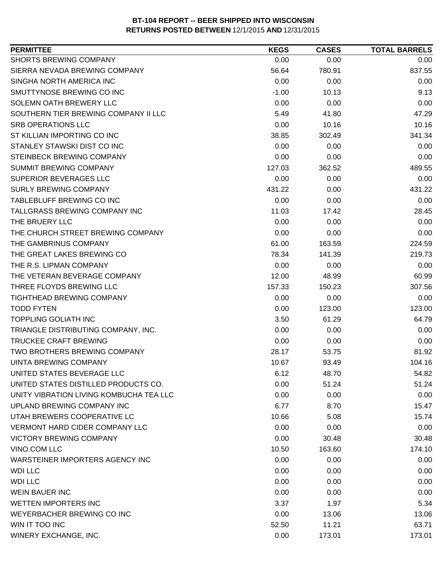| <b>SHORTS BREWING COMPANY</b><br>0.00<br>0.00<br>0.00<br>SIERRA NEVADA BREWING COMPANY<br>837.55<br>56.64<br>780.91<br>SINGHA NORTH AMERICA INC<br>0.00<br>0.00<br>0.00<br>SMUTTYNOSE BREWING CO INC<br>$-1.00$<br>10.13<br>9.13<br>0.00<br>SOLEMN OATH BREWERY LLC<br>0.00<br>0.00<br>SOUTHERN TIER BREWING COMPANY II LLC<br>5.49<br>47.29<br>41.80<br><b>SRB OPERATIONS LLC</b><br>0.00<br>10.16<br>10.16<br>ST KILLIAN IMPORTING CO INC<br>341.34<br>38.85<br>302.49<br>STANLEY STAWSKI DIST CO INC<br>0.00<br>0.00<br>0.00<br>STEINBECK BREWING COMPANY<br>0.00<br>0.00<br>0.00<br>SUMMIT BREWING COMPANY<br>127.03<br>362.52<br>489.55<br>SUPERIOR BEVERAGES LLC<br>0.00<br>0.00<br>0.00<br><b>SURLY BREWING COMPANY</b><br>431.22<br>431.22<br>0.00<br>TABLEBLUFF BREWING CO INC<br>0.00<br>0.00<br>0.00<br>TALLGRASS BREWING COMPANY INC<br>11.03<br>28.45<br>17.42<br>0.00<br>THE BRUERY LLC<br>0.00<br>0.00<br>0.00<br>THE CHURCH STREET BREWING COMPANY<br>0.00<br>0.00<br>THE GAMBRINUS COMPANY<br>61.00<br>163.59<br>224.59<br>THE GREAT LAKES BREWING CO<br>219.73<br>78.34<br>141.39<br>THE R.S. LIPMAN COMPANY<br>0.00<br>0.00<br>0.00<br>THE VETERAN BEVERAGE COMPANY<br>12.00<br>48.99<br>60.99<br>THREE FLOYDS BREWING LLC<br>157.33<br>150.23<br>307.56<br>TIGHTHEAD BREWING COMPANY<br>0.00<br>0.00<br>0.00<br><b>TODD FYTEN</b><br>0.00<br>123.00<br>123.00<br><b>TOPPLING GOLIATH INC</b><br>3.50<br>61.29<br>64.79<br>TRIANGLE DISTRIBUTING COMPANY, INC.<br>0.00<br>0.00<br>0.00<br>TRUCKEE CRAFT BREWING<br>0.00<br>0.00<br>0.00<br><b>TWO BROTHERS BREWING COMPANY</b><br>28.17<br>53.75<br>81.92<br>UINTA BREWING COMPANY<br>10.67<br>93.49<br>104.16<br>UNITED STATES BEVERAGE LLC<br>48.70<br>6.12<br>54.82<br>UNITED STATES DISTILLED PRODUCTS CO.<br>0.00<br>51.24<br>51.24<br>UNITY VIBRATION LIVING KOMBUCHA TEA LLC<br>0.00<br>0.00<br>0.00<br>UPLAND BREWING COMPANY INC<br>6.77<br>8.70<br>15.47<br>UTAH BREWERS COOPERATIVE LC<br>10.66<br>15.74<br>5.08<br>0.00<br><b>VERMONT HARD CIDER COMPANY LLC</b><br>0.00<br>0.00<br><b>VICTORY BREWING COMPANY</b><br>0.00<br>30.48<br>30.48<br>VINO.COM LLC<br>10.50<br>163.60<br>174.10<br>WARSTEINER IMPORTERS AGENCY INC<br>0.00<br>0.00<br>0.00<br><b>WDI LLC</b><br>0.00<br>0.00<br>0.00<br><b>WDI LLC</b><br>0.00<br>0.00<br>0.00<br><b>WEIN BAUER INC</b><br>0.00<br>0.00<br>0.00<br><b>WETTEN IMPORTERS INC</b><br>5.34<br>3.37<br>1.97<br>0.00<br>WEYERBACHER BREWING CO INC<br>13.06<br>13.06<br>WIN IT TOO INC<br>11.21<br>63.71<br>52.50<br>173.01<br>WINERY EXCHANGE, INC.<br>0.00<br>173.01 | <b>PERMITTEE</b> | <b>KEGS</b> | <b>CASES</b> | <b>TOTAL BARRELS</b> |
|-------------------------------------------------------------------------------------------------------------------------------------------------------------------------------------------------------------------------------------------------------------------------------------------------------------------------------------------------------------------------------------------------------------------------------------------------------------------------------------------------------------------------------------------------------------------------------------------------------------------------------------------------------------------------------------------------------------------------------------------------------------------------------------------------------------------------------------------------------------------------------------------------------------------------------------------------------------------------------------------------------------------------------------------------------------------------------------------------------------------------------------------------------------------------------------------------------------------------------------------------------------------------------------------------------------------------------------------------------------------------------------------------------------------------------------------------------------------------------------------------------------------------------------------------------------------------------------------------------------------------------------------------------------------------------------------------------------------------------------------------------------------------------------------------------------------------------------------------------------------------------------------------------------------------------------------------------------------------------------------------------------------------------------------------------------------------------------------------------------------------------------------------------------------------------------------------------------------------------------------------------------------------------------------------------------------------------------------------------------------------------------------------------------------------------------------------------------------------------------------------------------------------------------------------------------------------------------------|------------------|-------------|--------------|----------------------|
|                                                                                                                                                                                                                                                                                                                                                                                                                                                                                                                                                                                                                                                                                                                                                                                                                                                                                                                                                                                                                                                                                                                                                                                                                                                                                                                                                                                                                                                                                                                                                                                                                                                                                                                                                                                                                                                                                                                                                                                                                                                                                                                                                                                                                                                                                                                                                                                                                                                                                                                                                                                           |                  |             |              |                      |
|                                                                                                                                                                                                                                                                                                                                                                                                                                                                                                                                                                                                                                                                                                                                                                                                                                                                                                                                                                                                                                                                                                                                                                                                                                                                                                                                                                                                                                                                                                                                                                                                                                                                                                                                                                                                                                                                                                                                                                                                                                                                                                                                                                                                                                                                                                                                                                                                                                                                                                                                                                                           |                  |             |              |                      |
|                                                                                                                                                                                                                                                                                                                                                                                                                                                                                                                                                                                                                                                                                                                                                                                                                                                                                                                                                                                                                                                                                                                                                                                                                                                                                                                                                                                                                                                                                                                                                                                                                                                                                                                                                                                                                                                                                                                                                                                                                                                                                                                                                                                                                                                                                                                                                                                                                                                                                                                                                                                           |                  |             |              |                      |
|                                                                                                                                                                                                                                                                                                                                                                                                                                                                                                                                                                                                                                                                                                                                                                                                                                                                                                                                                                                                                                                                                                                                                                                                                                                                                                                                                                                                                                                                                                                                                                                                                                                                                                                                                                                                                                                                                                                                                                                                                                                                                                                                                                                                                                                                                                                                                                                                                                                                                                                                                                                           |                  |             |              |                      |
|                                                                                                                                                                                                                                                                                                                                                                                                                                                                                                                                                                                                                                                                                                                                                                                                                                                                                                                                                                                                                                                                                                                                                                                                                                                                                                                                                                                                                                                                                                                                                                                                                                                                                                                                                                                                                                                                                                                                                                                                                                                                                                                                                                                                                                                                                                                                                                                                                                                                                                                                                                                           |                  |             |              |                      |
|                                                                                                                                                                                                                                                                                                                                                                                                                                                                                                                                                                                                                                                                                                                                                                                                                                                                                                                                                                                                                                                                                                                                                                                                                                                                                                                                                                                                                                                                                                                                                                                                                                                                                                                                                                                                                                                                                                                                                                                                                                                                                                                                                                                                                                                                                                                                                                                                                                                                                                                                                                                           |                  |             |              |                      |
|                                                                                                                                                                                                                                                                                                                                                                                                                                                                                                                                                                                                                                                                                                                                                                                                                                                                                                                                                                                                                                                                                                                                                                                                                                                                                                                                                                                                                                                                                                                                                                                                                                                                                                                                                                                                                                                                                                                                                                                                                                                                                                                                                                                                                                                                                                                                                                                                                                                                                                                                                                                           |                  |             |              |                      |
|                                                                                                                                                                                                                                                                                                                                                                                                                                                                                                                                                                                                                                                                                                                                                                                                                                                                                                                                                                                                                                                                                                                                                                                                                                                                                                                                                                                                                                                                                                                                                                                                                                                                                                                                                                                                                                                                                                                                                                                                                                                                                                                                                                                                                                                                                                                                                                                                                                                                                                                                                                                           |                  |             |              |                      |
|                                                                                                                                                                                                                                                                                                                                                                                                                                                                                                                                                                                                                                                                                                                                                                                                                                                                                                                                                                                                                                                                                                                                                                                                                                                                                                                                                                                                                                                                                                                                                                                                                                                                                                                                                                                                                                                                                                                                                                                                                                                                                                                                                                                                                                                                                                                                                                                                                                                                                                                                                                                           |                  |             |              |                      |
|                                                                                                                                                                                                                                                                                                                                                                                                                                                                                                                                                                                                                                                                                                                                                                                                                                                                                                                                                                                                                                                                                                                                                                                                                                                                                                                                                                                                                                                                                                                                                                                                                                                                                                                                                                                                                                                                                                                                                                                                                                                                                                                                                                                                                                                                                                                                                                                                                                                                                                                                                                                           |                  |             |              |                      |
|                                                                                                                                                                                                                                                                                                                                                                                                                                                                                                                                                                                                                                                                                                                                                                                                                                                                                                                                                                                                                                                                                                                                                                                                                                                                                                                                                                                                                                                                                                                                                                                                                                                                                                                                                                                                                                                                                                                                                                                                                                                                                                                                                                                                                                                                                                                                                                                                                                                                                                                                                                                           |                  |             |              |                      |
|                                                                                                                                                                                                                                                                                                                                                                                                                                                                                                                                                                                                                                                                                                                                                                                                                                                                                                                                                                                                                                                                                                                                                                                                                                                                                                                                                                                                                                                                                                                                                                                                                                                                                                                                                                                                                                                                                                                                                                                                                                                                                                                                                                                                                                                                                                                                                                                                                                                                                                                                                                                           |                  |             |              |                      |
|                                                                                                                                                                                                                                                                                                                                                                                                                                                                                                                                                                                                                                                                                                                                                                                                                                                                                                                                                                                                                                                                                                                                                                                                                                                                                                                                                                                                                                                                                                                                                                                                                                                                                                                                                                                                                                                                                                                                                                                                                                                                                                                                                                                                                                                                                                                                                                                                                                                                                                                                                                                           |                  |             |              |                      |
|                                                                                                                                                                                                                                                                                                                                                                                                                                                                                                                                                                                                                                                                                                                                                                                                                                                                                                                                                                                                                                                                                                                                                                                                                                                                                                                                                                                                                                                                                                                                                                                                                                                                                                                                                                                                                                                                                                                                                                                                                                                                                                                                                                                                                                                                                                                                                                                                                                                                                                                                                                                           |                  |             |              |                      |
|                                                                                                                                                                                                                                                                                                                                                                                                                                                                                                                                                                                                                                                                                                                                                                                                                                                                                                                                                                                                                                                                                                                                                                                                                                                                                                                                                                                                                                                                                                                                                                                                                                                                                                                                                                                                                                                                                                                                                                                                                                                                                                                                                                                                                                                                                                                                                                                                                                                                                                                                                                                           |                  |             |              |                      |
|                                                                                                                                                                                                                                                                                                                                                                                                                                                                                                                                                                                                                                                                                                                                                                                                                                                                                                                                                                                                                                                                                                                                                                                                                                                                                                                                                                                                                                                                                                                                                                                                                                                                                                                                                                                                                                                                                                                                                                                                                                                                                                                                                                                                                                                                                                                                                                                                                                                                                                                                                                                           |                  |             |              |                      |
|                                                                                                                                                                                                                                                                                                                                                                                                                                                                                                                                                                                                                                                                                                                                                                                                                                                                                                                                                                                                                                                                                                                                                                                                                                                                                                                                                                                                                                                                                                                                                                                                                                                                                                                                                                                                                                                                                                                                                                                                                                                                                                                                                                                                                                                                                                                                                                                                                                                                                                                                                                                           |                  |             |              |                      |
|                                                                                                                                                                                                                                                                                                                                                                                                                                                                                                                                                                                                                                                                                                                                                                                                                                                                                                                                                                                                                                                                                                                                                                                                                                                                                                                                                                                                                                                                                                                                                                                                                                                                                                                                                                                                                                                                                                                                                                                                                                                                                                                                                                                                                                                                                                                                                                                                                                                                                                                                                                                           |                  |             |              |                      |
|                                                                                                                                                                                                                                                                                                                                                                                                                                                                                                                                                                                                                                                                                                                                                                                                                                                                                                                                                                                                                                                                                                                                                                                                                                                                                                                                                                                                                                                                                                                                                                                                                                                                                                                                                                                                                                                                                                                                                                                                                                                                                                                                                                                                                                                                                                                                                                                                                                                                                                                                                                                           |                  |             |              |                      |
|                                                                                                                                                                                                                                                                                                                                                                                                                                                                                                                                                                                                                                                                                                                                                                                                                                                                                                                                                                                                                                                                                                                                                                                                                                                                                                                                                                                                                                                                                                                                                                                                                                                                                                                                                                                                                                                                                                                                                                                                                                                                                                                                                                                                                                                                                                                                                                                                                                                                                                                                                                                           |                  |             |              |                      |
|                                                                                                                                                                                                                                                                                                                                                                                                                                                                                                                                                                                                                                                                                                                                                                                                                                                                                                                                                                                                                                                                                                                                                                                                                                                                                                                                                                                                                                                                                                                                                                                                                                                                                                                                                                                                                                                                                                                                                                                                                                                                                                                                                                                                                                                                                                                                                                                                                                                                                                                                                                                           |                  |             |              |                      |
|                                                                                                                                                                                                                                                                                                                                                                                                                                                                                                                                                                                                                                                                                                                                                                                                                                                                                                                                                                                                                                                                                                                                                                                                                                                                                                                                                                                                                                                                                                                                                                                                                                                                                                                                                                                                                                                                                                                                                                                                                                                                                                                                                                                                                                                                                                                                                                                                                                                                                                                                                                                           |                  |             |              |                      |
|                                                                                                                                                                                                                                                                                                                                                                                                                                                                                                                                                                                                                                                                                                                                                                                                                                                                                                                                                                                                                                                                                                                                                                                                                                                                                                                                                                                                                                                                                                                                                                                                                                                                                                                                                                                                                                                                                                                                                                                                                                                                                                                                                                                                                                                                                                                                                                                                                                                                                                                                                                                           |                  |             |              |                      |
|                                                                                                                                                                                                                                                                                                                                                                                                                                                                                                                                                                                                                                                                                                                                                                                                                                                                                                                                                                                                                                                                                                                                                                                                                                                                                                                                                                                                                                                                                                                                                                                                                                                                                                                                                                                                                                                                                                                                                                                                                                                                                                                                                                                                                                                                                                                                                                                                                                                                                                                                                                                           |                  |             |              |                      |
|                                                                                                                                                                                                                                                                                                                                                                                                                                                                                                                                                                                                                                                                                                                                                                                                                                                                                                                                                                                                                                                                                                                                                                                                                                                                                                                                                                                                                                                                                                                                                                                                                                                                                                                                                                                                                                                                                                                                                                                                                                                                                                                                                                                                                                                                                                                                                                                                                                                                                                                                                                                           |                  |             |              |                      |
|                                                                                                                                                                                                                                                                                                                                                                                                                                                                                                                                                                                                                                                                                                                                                                                                                                                                                                                                                                                                                                                                                                                                                                                                                                                                                                                                                                                                                                                                                                                                                                                                                                                                                                                                                                                                                                                                                                                                                                                                                                                                                                                                                                                                                                                                                                                                                                                                                                                                                                                                                                                           |                  |             |              |                      |
|                                                                                                                                                                                                                                                                                                                                                                                                                                                                                                                                                                                                                                                                                                                                                                                                                                                                                                                                                                                                                                                                                                                                                                                                                                                                                                                                                                                                                                                                                                                                                                                                                                                                                                                                                                                                                                                                                                                                                                                                                                                                                                                                                                                                                                                                                                                                                                                                                                                                                                                                                                                           |                  |             |              |                      |
|                                                                                                                                                                                                                                                                                                                                                                                                                                                                                                                                                                                                                                                                                                                                                                                                                                                                                                                                                                                                                                                                                                                                                                                                                                                                                                                                                                                                                                                                                                                                                                                                                                                                                                                                                                                                                                                                                                                                                                                                                                                                                                                                                                                                                                                                                                                                                                                                                                                                                                                                                                                           |                  |             |              |                      |
|                                                                                                                                                                                                                                                                                                                                                                                                                                                                                                                                                                                                                                                                                                                                                                                                                                                                                                                                                                                                                                                                                                                                                                                                                                                                                                                                                                                                                                                                                                                                                                                                                                                                                                                                                                                                                                                                                                                                                                                                                                                                                                                                                                                                                                                                                                                                                                                                                                                                                                                                                                                           |                  |             |              |                      |
|                                                                                                                                                                                                                                                                                                                                                                                                                                                                                                                                                                                                                                                                                                                                                                                                                                                                                                                                                                                                                                                                                                                                                                                                                                                                                                                                                                                                                                                                                                                                                                                                                                                                                                                                                                                                                                                                                                                                                                                                                                                                                                                                                                                                                                                                                                                                                                                                                                                                                                                                                                                           |                  |             |              |                      |
|                                                                                                                                                                                                                                                                                                                                                                                                                                                                                                                                                                                                                                                                                                                                                                                                                                                                                                                                                                                                                                                                                                                                                                                                                                                                                                                                                                                                                                                                                                                                                                                                                                                                                                                                                                                                                                                                                                                                                                                                                                                                                                                                                                                                                                                                                                                                                                                                                                                                                                                                                                                           |                  |             |              |                      |
|                                                                                                                                                                                                                                                                                                                                                                                                                                                                                                                                                                                                                                                                                                                                                                                                                                                                                                                                                                                                                                                                                                                                                                                                                                                                                                                                                                                                                                                                                                                                                                                                                                                                                                                                                                                                                                                                                                                                                                                                                                                                                                                                                                                                                                                                                                                                                                                                                                                                                                                                                                                           |                  |             |              |                      |
|                                                                                                                                                                                                                                                                                                                                                                                                                                                                                                                                                                                                                                                                                                                                                                                                                                                                                                                                                                                                                                                                                                                                                                                                                                                                                                                                                                                                                                                                                                                                                                                                                                                                                                                                                                                                                                                                                                                                                                                                                                                                                                                                                                                                                                                                                                                                                                                                                                                                                                                                                                                           |                  |             |              |                      |
|                                                                                                                                                                                                                                                                                                                                                                                                                                                                                                                                                                                                                                                                                                                                                                                                                                                                                                                                                                                                                                                                                                                                                                                                                                                                                                                                                                                                                                                                                                                                                                                                                                                                                                                                                                                                                                                                                                                                                                                                                                                                                                                                                                                                                                                                                                                                                                                                                                                                                                                                                                                           |                  |             |              |                      |
|                                                                                                                                                                                                                                                                                                                                                                                                                                                                                                                                                                                                                                                                                                                                                                                                                                                                                                                                                                                                                                                                                                                                                                                                                                                                                                                                                                                                                                                                                                                                                                                                                                                                                                                                                                                                                                                                                                                                                                                                                                                                                                                                                                                                                                                                                                                                                                                                                                                                                                                                                                                           |                  |             |              |                      |
|                                                                                                                                                                                                                                                                                                                                                                                                                                                                                                                                                                                                                                                                                                                                                                                                                                                                                                                                                                                                                                                                                                                                                                                                                                                                                                                                                                                                                                                                                                                                                                                                                                                                                                                                                                                                                                                                                                                                                                                                                                                                                                                                                                                                                                                                                                                                                                                                                                                                                                                                                                                           |                  |             |              |                      |
|                                                                                                                                                                                                                                                                                                                                                                                                                                                                                                                                                                                                                                                                                                                                                                                                                                                                                                                                                                                                                                                                                                                                                                                                                                                                                                                                                                                                                                                                                                                                                                                                                                                                                                                                                                                                                                                                                                                                                                                                                                                                                                                                                                                                                                                                                                                                                                                                                                                                                                                                                                                           |                  |             |              |                      |
|                                                                                                                                                                                                                                                                                                                                                                                                                                                                                                                                                                                                                                                                                                                                                                                                                                                                                                                                                                                                                                                                                                                                                                                                                                                                                                                                                                                                                                                                                                                                                                                                                                                                                                                                                                                                                                                                                                                                                                                                                                                                                                                                                                                                                                                                                                                                                                                                                                                                                                                                                                                           |                  |             |              |                      |
|                                                                                                                                                                                                                                                                                                                                                                                                                                                                                                                                                                                                                                                                                                                                                                                                                                                                                                                                                                                                                                                                                                                                                                                                                                                                                                                                                                                                                                                                                                                                                                                                                                                                                                                                                                                                                                                                                                                                                                                                                                                                                                                                                                                                                                                                                                                                                                                                                                                                                                                                                                                           |                  |             |              |                      |
|                                                                                                                                                                                                                                                                                                                                                                                                                                                                                                                                                                                                                                                                                                                                                                                                                                                                                                                                                                                                                                                                                                                                                                                                                                                                                                                                                                                                                                                                                                                                                                                                                                                                                                                                                                                                                                                                                                                                                                                                                                                                                                                                                                                                                                                                                                                                                                                                                                                                                                                                                                                           |                  |             |              |                      |
|                                                                                                                                                                                                                                                                                                                                                                                                                                                                                                                                                                                                                                                                                                                                                                                                                                                                                                                                                                                                                                                                                                                                                                                                                                                                                                                                                                                                                                                                                                                                                                                                                                                                                                                                                                                                                                                                                                                                                                                                                                                                                                                                                                                                                                                                                                                                                                                                                                                                                                                                                                                           |                  |             |              |                      |
|                                                                                                                                                                                                                                                                                                                                                                                                                                                                                                                                                                                                                                                                                                                                                                                                                                                                                                                                                                                                                                                                                                                                                                                                                                                                                                                                                                                                                                                                                                                                                                                                                                                                                                                                                                                                                                                                                                                                                                                                                                                                                                                                                                                                                                                                                                                                                                                                                                                                                                                                                                                           |                  |             |              |                      |
|                                                                                                                                                                                                                                                                                                                                                                                                                                                                                                                                                                                                                                                                                                                                                                                                                                                                                                                                                                                                                                                                                                                                                                                                                                                                                                                                                                                                                                                                                                                                                                                                                                                                                                                                                                                                                                                                                                                                                                                                                                                                                                                                                                                                                                                                                                                                                                                                                                                                                                                                                                                           |                  |             |              |                      |
|                                                                                                                                                                                                                                                                                                                                                                                                                                                                                                                                                                                                                                                                                                                                                                                                                                                                                                                                                                                                                                                                                                                                                                                                                                                                                                                                                                                                                                                                                                                                                                                                                                                                                                                                                                                                                                                                                                                                                                                                                                                                                                                                                                                                                                                                                                                                                                                                                                                                                                                                                                                           |                  |             |              |                      |
|                                                                                                                                                                                                                                                                                                                                                                                                                                                                                                                                                                                                                                                                                                                                                                                                                                                                                                                                                                                                                                                                                                                                                                                                                                                                                                                                                                                                                                                                                                                                                                                                                                                                                                                                                                                                                                                                                                                                                                                                                                                                                                                                                                                                                                                                                                                                                                                                                                                                                                                                                                                           |                  |             |              |                      |